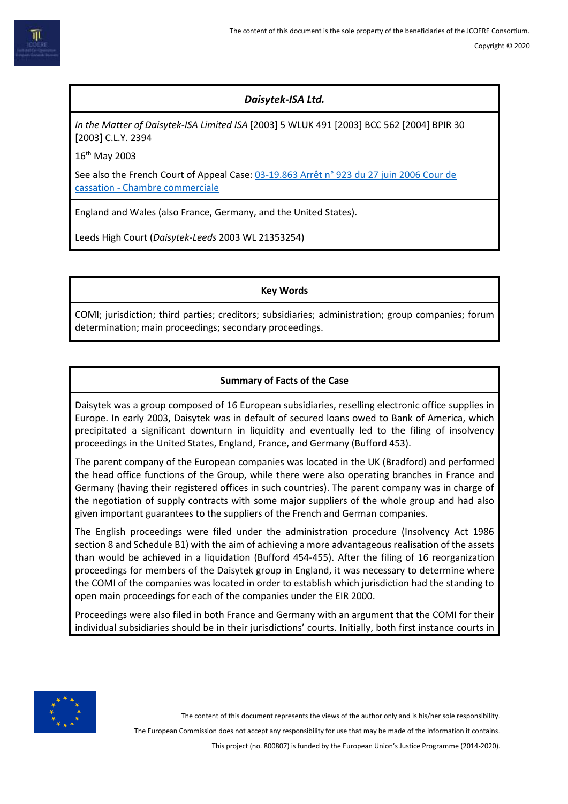

# *Daisytek-ISA Ltd.*

*In the Matter of Daisytek-ISA Limited ISA* [2003] 5 WLUK 491 [2003] BCC 562 [2004] BPIR 30 [2003] C.L.Y. 2394

16th May 2003

See also the French Court of Appeal Case: [03-19.863 Arrêt n° 923 du 27 juin 2006 Cour de](https://www.courdecassation.fr/jurisprudence_2/chambre_commerciale_574/arr_ecirc_8810.html)  cassation - [Chambre commerciale](https://www.courdecassation.fr/jurisprudence_2/chambre_commerciale_574/arr_ecirc_8810.html)

England and Wales (also France, Germany, and the United States).

Leeds High Court (*Daisytek-Leeds* 2003 WL 21353254)

**Key Words**

COMI; jurisdiction; third parties; creditors; subsidiaries; administration; group companies; forum determination; main proceedings; secondary proceedings.

## **Summary of Facts of the Case**

Daisytek was a group composed of 16 European subsidiaries, reselling electronic office supplies in Europe. In early 2003, Daisytek was in default of secured loans owed to Bank of America, which precipitated a significant downturn in liquidity and eventually led to the filing of insolvency proceedings in the United States, England, France, and Germany (Bufford 453).

The parent company of the European companies was located in the UK (Bradford) and performed the head office functions of the Group, while there were also operating branches in France and Germany (having their registered offices in such countries). The parent company was in charge of the negotiation of supply contracts with some major suppliers of the whole group and had also given important guarantees to the suppliers of the French and German companies.

The English proceedings were filed under the administration procedure (Insolvency Act 1986 section 8 and Schedule B1) with the aim of achieving a more advantageous realisation of the assets than would be achieved in a liquidation (Bufford 454-455). After the filing of 16 reorganization proceedings for members of the Daisytek group in England, it was necessary to determine where the COMI of the companies was located in order to establish which jurisdiction had the standing to open main proceedings for each of the companies under the EIR 2000.

Proceedings were also filed in both France and Germany with an argument that the COMI for their individual subsidiaries should be in their jurisdictions' courts. Initially, both first instance courts in



The content of this document represents the views of the author only and is his/her sole responsibility.

The European Commission does not accept any responsibility for use that may be made of the information it contains.

This project (no. 800807) is funded by the European Union's Justice Programme (2014-2020).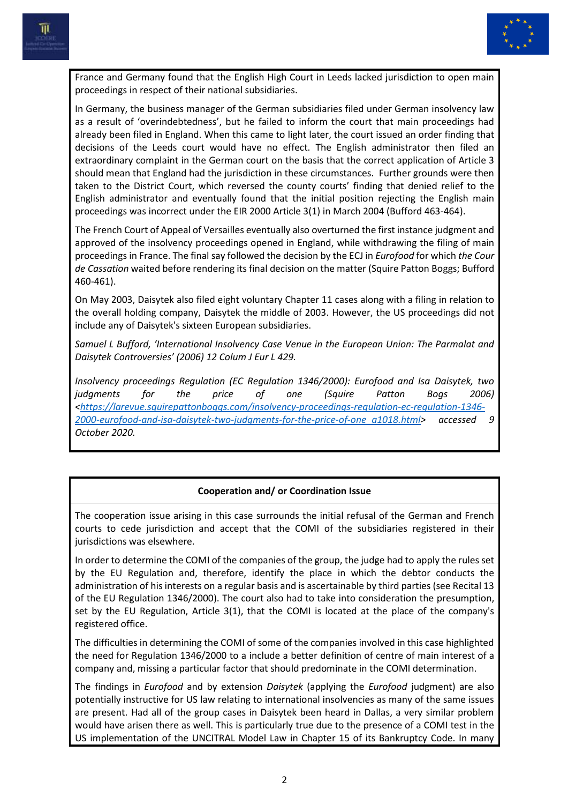



France and Germany found that the English High Court in Leeds lacked jurisdiction to open main proceedings in respect of their national subsidiaries.

In Germany, the business manager of the German subsidiaries filed under German insolvency law as a result of 'overindebtedness', but he failed to inform the court that main proceedings had already been filed in England. When this came to light later, the court issued an order finding that decisions of the Leeds court would have no effect. The English administrator then filed an extraordinary complaint in the German court on the basis that the correct application of Article 3 should mean that England had the jurisdiction in these circumstances. Further grounds were then taken to the District Court, which reversed the county courts' finding that denied relief to the English administrator and eventually found that the initial position rejecting the English main proceedings was incorrect under the EIR 2000 Article 3(1) in March 2004 (Bufford 463-464).

The French Court of Appeal of Versailles eventually also overturned the first instance judgment and approved of the insolvency proceedings opened in England, while withdrawing the filing of main proceedings in France. The final say followed the decision by the ECJ in *Eurofood* for which *the Cour de Cassation* waited before rendering its final decision on the matter (Squire Patton Boggs; Bufford 460-461).

On May 2003, Daisytek also filed eight voluntary Chapter 11 cases along with a filing in relation to the overall holding company, Daisytek the middle of 2003. However, the US proceedings did not include any of Daisytek's sixteen European subsidiaries.

*Samuel L Bufford, 'International Insolvency Case Venue in the European Union: The Parmalat and Daisytek Controversies' (2006) 12 Colum J Eur L 429.*

*Insolvency proceedings Regulation (EC Regulation 1346/2000): Eurofood and Isa Daisytek, two judgments for the price of one (Squire Patton Bogs 2006) [<https://larevue.squirepattonboggs.com/insolvency-proceedings-regulation-ec-regulation-1346-](https://larevue.squirepattonboggs.com/insolvency-proceedings-regulation-ec-regulation-1346-2000-eurofood-and-isa-daisytek-two-judgments-for-the-price-of-one_a1018.html) [2000-eurofood-and-isa-daisytek-two-judgments-for-the-price-of-one\\_a1018.html>](https://larevue.squirepattonboggs.com/insolvency-proceedings-regulation-ec-regulation-1346-2000-eurofood-and-isa-daisytek-two-judgments-for-the-price-of-one_a1018.html) accessed 9 October 2020.*

## **Cooperation and/ or Coordination Issue**

The cooperation issue arising in this case surrounds the initial refusal of the German and French courts to cede jurisdiction and accept that the COMI of the subsidiaries registered in their jurisdictions was elsewhere.

In order to determine the COMI of the companies of the group, the judge had to apply the rules set by the EU Regulation and, therefore, identify the place in which the debtor conducts the administration of his interests on a regular basis and is ascertainable by third parties (see Recital 13 of the EU Regulation 1346/2000). The court also had to take into consideration the presumption, set by the EU Regulation, Article 3(1), that the COMI is located at the place of the company's registered office.

The difficulties in determining the COMI of some of the companies involved in this case highlighted the need for Regulation 1346/2000 to a include a better definition of centre of main interest of a company and, missing a particular factor that should predominate in the COMI determination.

The findings in *Eurofood* and by extension *Daisytek* (applying the *Eurofood* judgment) are also potentially instructive for US law relating to international insolvencies as many of the same issues are present. Had all of the group cases in Daisytek been heard in Dallas, a very similar problem would have arisen there as well. This is particularly true due to the presence of a COMI test in the US implementation of the UNCITRAL Model Law in Chapter 15 of its Bankruptcy Code. In many